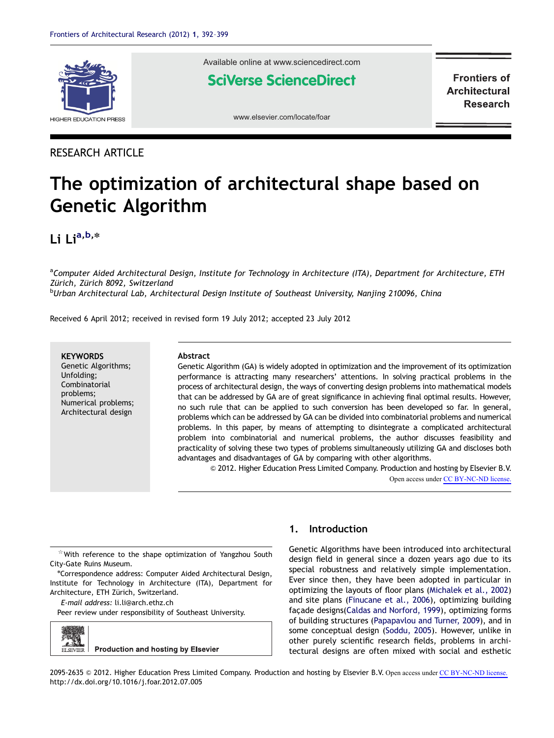

Available online at www.sciencedirect.com

**SciVerse ScienceDirect** 

**Frontiers of Architectural Research** 

www.elsevier.com/locate/foar

### RESEARCH ARTICLE

# The optimization of architectural shape based on Genetic Algorithm

Li Lia,b,\*

<sup>a</sup>Computer Aided Architectural Design, Institute for Technology in Architecture (ITA), Department for Architecture, ETH Zürich, Zürich 8092, Switzerland bUrban Architectural Lab, Architectural Design Institute of Southeast University, Nanjing 210096, China

Received 6 April 2012; received in revised form 19 July 2012; accepted 23 July 2012

**KEYWORDS** Genetic Algorithms; Unfolding; Combinatorial problems; Numerical problems; Architectural design

#### Abstract

Genetic Algorithm (GA) is widely adopted in optimization and the improvement of its optimization performance is attracting many researchers' attentions. In solving practical problems in the process of architectural design, the ways of converting design problems into mathematical models that can be addressed by GA are of great significance in achieving final optimal results. However, no such rule that can be applied to such conversion has been developed so far. In general, problems which can be addressed by GA can be divided into combinatorial problems and numerical problems. In this paper, by means of attempting to disintegrate a complicated architectural problem into combinatorial and numerical problems, the author discusses feasibility and practicality of solving these two types of problems simultaneously utilizing GA and discloses both advantages and disadvantages of GA by comparing with other algorithms.

& 2012. Higher Education Press Limited Company. Production and hosting by Elsevier B.V.

Open access under [CC BY-NC-ND license.](http://creativecommons.org/licenses/by-nc-nd/4.0/)

 $*$  With reference to the shape optimization of Yangzhou South City-Gate Ruins Museum.

n Correspondence address: Computer Aided Architectural Design, Institute for Technology in Architecture (ITA), Department for Architecture, ETH Zürich, Switzerland.

E-mail address: [li.li@arch.ethz.ch](mailto:li.li@arch.ethz.ch)

Peer review under responsibility of Southeast University.

**Production and hosting by Elsevier** ELSEVIER<sup>1</sup>

#### 1. Introduction

Genetic Algorithms have been introduced into architectural design field in general since a dozen years ago due to its special robustness and relatively simple implementation. Ever since then, they have been adopted in particular in optimizing the layouts of floor plans [\(Michalek et al., 2002\)](#page--1-0) and site plans ([Finucane et al., 2006\)](#page--1-0), optimizing building facade designs([Caldas and Norford, 1999\)](#page--1-0), optimizing forms of building structures [\(Papapavlou and Turner, 2009](#page--1-0)), and in some conceptual design ([Soddu, 2005](#page--1-0)). However, unlike in other purely scientific research fields, problems in architectural designs are often mixed with social and esthetic

2095-2635 © 2012. Higher Education Press Limited Company. Production and hosting by Elsevier B.V. Open access under [CC BY-NC-ND license.](http://creativecommons.org/licenses/by-nc-nd/4.0/) [http://dx.doi.org/10.1016/j.foar.2012.07.005](dx.doi.org/10.1016/j.foar.2012.07.005)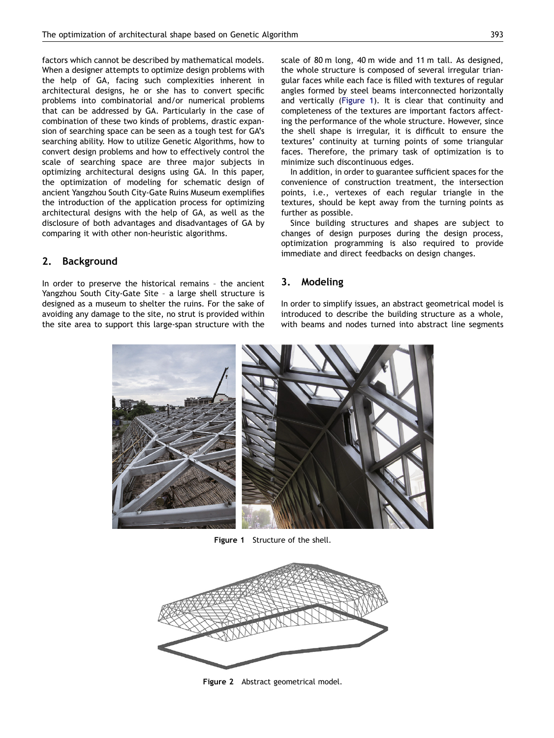factors which cannot be described by mathematical models. When a designer attempts to optimize design problems with the help of GA, facing such complexities inherent in architectural designs, he or she has to convert specific problems into combinatorial and/or numerical problems that can be addressed by GA. Particularly in the case of combination of these two kinds of problems, drastic expansion of searching space can be seen as a tough test for GA's searching ability. How to utilize Genetic Algorithms, how to convert design problems and how to effectively control the scale of searching space are three major subjects in optimizing architectural designs using GA. In this paper, the optimization of modeling for schematic design of ancient Yangzhou South City-Gate Ruins Museum exemplifies the introduction of the application process for optimizing architectural designs with the help of GA, as well as the disclosure of both advantages and disadvantages of GA by comparing it with other non-heuristic algorithms.

#### 2. Background

In order to preserve the historical remains – the ancient Yangzhou South City-Gate Site – a large shell structure is designed as a museum to shelter the ruins. For the sake of avoiding any damage to the site, no strut is provided within the site area to support this large-span structure with the

scale of 80 m long, 40 m wide and 11 m tall. As designed, the whole structure is composed of several irregular triangular faces while each face is filled with textures of regular angles formed by steel beams interconnected horizontally and vertically (Figure 1). It is clear that continuity and completeness of the textures are important factors affecting the performance of the whole structure. However, since the shell shape is irregular, it is difficult to ensure the textures' continuity at turning points of some triangular faces. Therefore, the primary task of optimization is to minimize such discontinuous edges.

In addition, in order to guarantee sufficient spaces for the convenience of construction treatment, the intersection points, i.e., vertexes of each regular triangle in the textures, should be kept away from the turning points as further as possible.

Since building structures and shapes are subject to changes of design purposes during the design process, optimization programming is also required to provide immediate and direct feedbacks on design changes.

#### 3. Modeling

In order to simplify issues, an abstract geometrical model is introduced to describe the building structure as a whole, with beams and nodes turned into abstract line segments



Figure 1 Structure of the shell.



Figure 2 Abstract geometrical model.